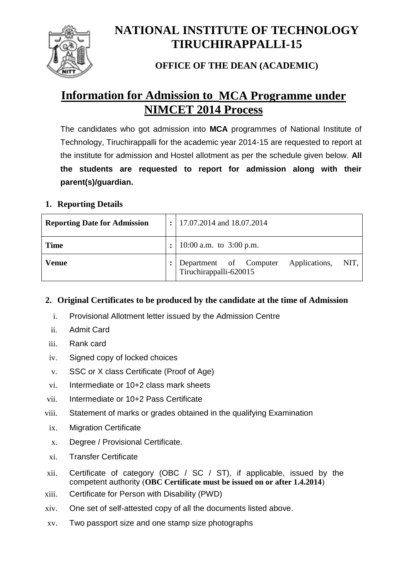

# **NATIONAL INSTITUTE OF TECHNOLOGY TIRUCHIRAPPALLI-15**

# **OFFICE OF THE DEAN (ACADEMIC)**

# **Information for Admission to MCA Programme under NIMCET 2014 Process**

The candidates who got admission into **MCA** programmes of National Institute of Technology, Tiruchirappalli for the academic year 2014-15 are requested to report at the institute for admission and Hostel allotment as per the schedule given below. **All the students are requested to report for admission along with their parent(s)/guardian.**

## **1. Reporting Details**

| <b>Reporting Date for Admission</b> | $\ddot{\cdot}$ | 17.07.2014 and 18.07.2014                                              |  |  |  |  |
|-------------------------------------|----------------|------------------------------------------------------------------------|--|--|--|--|
| <b>Time</b>                         |                | 10:00 a.m. to $3:00$ p.m.                                              |  |  |  |  |
| <b>Venue</b>                        |                | Department of Computer Applications,<br>NIT.<br>Tiruchirappalli-620015 |  |  |  |  |

### **2. Original Certificates to be produced by the candidate at the time of Admission**

- i. Provisional Allotment letter issued by the Admission Centre
- ii. Admit Card
- iii. Rank card
- iv. Signed copy of locked choices
- v. SSC or X class Certificate (Proof of Age)
- vi. Intermediate or 10+2 class mark sheets
- vii. Intermediate or 10+2 Pass Certificate
- viii. Statement of marks or grades obtained in the qualifying Examination
- ix. Migration Certificate
- x. Degree / Provisional Certificate.
- xi. Transfer Certificate
- xii. Certificate of category (OBC / SC / ST), if applicable, issued by the competent authority (**OBC Certificate must be issued on or after 1.4.2014**)
- xiii. Certificate for Person with Disability (PWD)
- xiv. One set of self-attested copy of all the documents listed above.
- xv. Two passport size and one stamp size photographs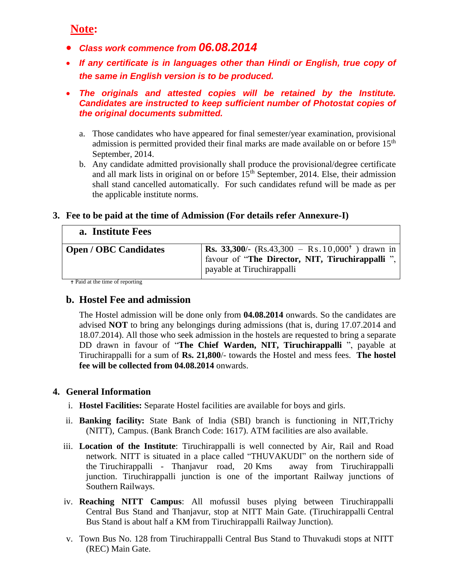# **Note:**

- *Class work commence from 06.08.2014*
- *If any certificate is in languages other than Hindi or English, true copy of the same in English version is to be produced.*
- *The originals and attested copies will be retained by the Institute. Candidates are instructed to keep sufficient number of Photostat copies of the original documents submitted.*
	- a. Those candidates who have appeared for final semester/year examination, provisional admission is permitted provided their final marks are made available on or before 15<sup>th</sup> September, 2014.
	- b. Any candidate admitted provisionally shall produce the provisional/degree certificate and all mark lists in original on or before  $15<sup>th</sup>$  September, 2014. Else, their admission shall stand cancelled automatically. For such candidates refund will be made as per the applicable institute norms.

#### **3. Fee to be paid at the time of Admission (For details refer Annexure-I)**

#### **a. Institute Fees**

| <b>Open / OBC Candidates</b> | <b>Rs.</b> 33,300/- (Rs.43,300 – Rs.10,000 <sup>+</sup> ) drawn in<br>favour of "The Director, NIT, Tiruchirappalli",<br>payable at Tiruchirappalli |
|------------------------------|-----------------------------------------------------------------------------------------------------------------------------------------------------|
|                              |                                                                                                                                                     |

Paid at the time of reporting

## **b. Hostel Fee and admission**

The Hostel admission will be done only from **04.08.2014** onwards. So the candidates are advised **NOT** to bring any belongings during admissions (that is, during 17.07.2014 and 18.07.2014). All those who seek admission in the hostels are requested to bring a separate DD drawn in favour of "**The Chief Warden, NIT, Tiruchirappalli** ", payable at Tiruchirappalli for a sum of **Rs. 21,800**/- towards the Hostel and mess fees. **The hostel fee will be collected from 04.08.2014** onwards.

#### **4. General Information**

- i. **Hostel Facilities:** Separate Hostel facilities are available for boys and girls.
- ii. **Banking facility:** State Bank of India (SBI) branch is functioning in NIT,Trichy (NITT), Campus. (Bank Branch Code: 1617). ATM facilities are also available.
- iii. **Location of the Institute**: Tiruchirappalli is well connected by Air, Rail and Road network. NITT is situated in a place called "THUVAKUDI" on the northern side of the Tiruchirappalli - Thanjavur road, 20 Kms away from Tiruchirappalli junction. Tiruchirappalli junction is one of the important Railway junctions of Southern Railways.
- iv. **Reaching NITT Campus**: All mofussil buses plying between Tiruchirappalli Central Bus Stand and Thanjavur, stop at NITT Main Gate. (Tiruchirappalli Central Bus Stand is about half a KM from Tiruchirappalli Railway Junction).
- v. Town Bus No. 128 from Tiruchirappalli Central Bus Stand to Thuvakudi stops at NITT (REC) Main Gate.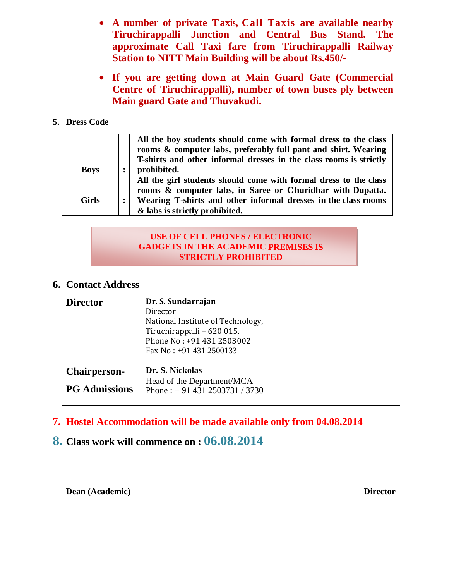- **A number of private Taxis, Call Taxis are available nearby Tiruchirappalli Junction and Central Bus Stand. The approximate Call Taxi fare from Tiruchirappalli Railway Station to NITT Main Building will be about Rs.450/-**
- **If you are getting down at Main Guard Gate (Commercial Centre of Tiruchirappalli), number of town buses ply between Main guard Gate and Thuvakudi.**

#### **5. Dress Code**

| <b>Boys</b>  | All the boy students should come with formal dress to the class<br>rooms & computer labs, preferably full pant and shirt. Wearing<br>T-shirts and other informal dresses in the class rooms is strictly<br>prohibited.             |
|--------------|------------------------------------------------------------------------------------------------------------------------------------------------------------------------------------------------------------------------------------|
| <b>Girls</b> | All the girl students should come with formal dress to the class<br>rooms & computer labs, in Saree or Churidhar with Dupatta.<br>Wearing T-shirts and other informal dresses in the class rooms<br>& labs is strictly prohibited. |

#### **USE OF CELL PHONES / ELECTRONIC GADGETS IN THE ACADEMIC PREMISES IS STRICTLY PROHIBITED**

#### **6. Contact Address**

| <b>Director</b>      | Dr. S. Sundarrajan<br>Director<br>National Institute of Technology,<br>Tiruchirappalli - 620 015.<br>Phone No: +91 431 2503002<br>Fax No: $+91$ 431 2500133 |
|----------------------|-------------------------------------------------------------------------------------------------------------------------------------------------------------|
| <b>Chairperson-</b>  | Dr. S. Nickolas                                                                                                                                             |
| <b>PG</b> Admissions | Head of the Department/MCA<br>Phone: $+914312503731/3730$                                                                                                   |

## **7. Hostel Accommodation will be made available only from 04.08.2014**

# **8. Class work will commence on : 06.08.2014**

**Dean (Academic)** Director